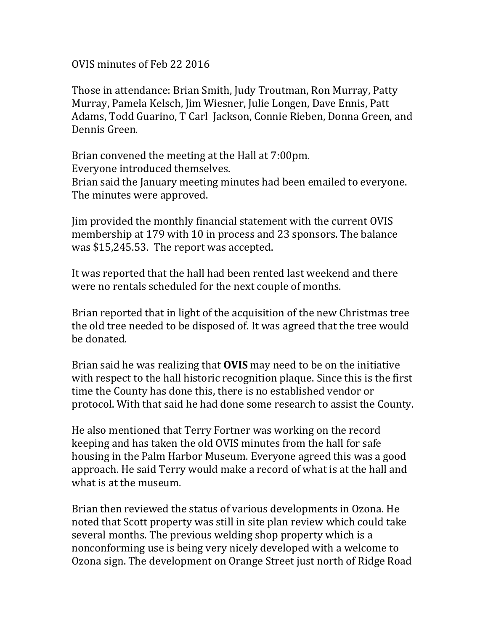OVIS minutes of Feb 22 2016

Those in attendance: Brian Smith, Judy Troutman, Ron Murray, Patty Murray, Pamela Kelsch, Jim Wiesner, Julie Longen, Dave Ennis, Patt Adams, Todd Guarino, T Carl Jackson, Connie Rieben, Donna Green, and Dennis Green.

Brian convened the meeting at the Hall at 7:00pm. Everyone introduced themselves. Brian said the January meeting minutes had been emailed to everyone. The minutes were approved.

Jim provided the monthly financial statement with the current OVIS membership at 179 with 10 in process and 23 sponsors. The balance was \$15,245.53. The report was accepted.

It was reported that the hall had been rented last weekend and there were no rentals scheduled for the next couple of months.

Brian reported that in light of the acquisition of the new Christmas tree the old tree needed to be disposed of. It was agreed that the tree would be donated.

Brian said he was realizing that **OVIS** may need to be on the initiative with respect to the hall historic recognition plaque. Since this is the first time the County has done this, there is no established vendor or protocol. With that said he had done some research to assist the County.

He also mentioned that Terry Fortner was working on the record keeping and has taken the old OVIS minutes from the hall for safe housing in the Palm Harbor Museum. Everyone agreed this was a good approach. He said Terry would make a record of what is at the hall and what is at the museum.

Brian then reviewed the status of various developments in Ozona. He noted that Scott property was still in site plan review which could take several months. The previous welding shop property which is a nonconforming use is being very nicely developed with a welcome to Ozona sign. The development on Orange Street just north of Ridge Road